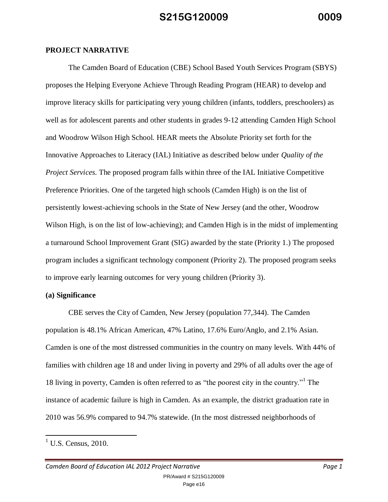#### **PROJECT NARRATIVE**

The Camden Board of Education (CBE) School Based Youth Services Program (SBYS) proposes the Helping Everyone Achieve Through Reading Program (HEAR) to develop and improve literacy skills for participating very young children (infants, toddlers, preschoolers) as well as for adolescent parents and other students in grades 9-12 attending Camden High School and Woodrow Wilson High School. HEAR meets the Absolute Priority set forth for the Innovative Approaches to Literacy (IAL) Initiative as described below under *Quality of the Project Services*. The proposed program falls within three of the IAL Initiative Competitive Preference Priorities. One of the targeted high schools (Camden High) is on the list of persistently lowest-achieving schools in the State of New Jersey (and the other, Woodrow Wilson High, is on the list of low-achieving); and Camden High is in the midst of implementing a turnaround School Improvement Grant (SIG) awarded by the state (Priority 1.) The proposed program includes a significant technology component (Priority 2). The proposed program seeks to improve early learning outcomes for very young children (Priority 3).

#### **(a) Significance**

CBE serves the City of Camden, New Jersey (population 77,344). The Camden population is 48.1% African American, 47% Latino, 17.6% Euro/Anglo, and 2.1% Asian. Camden is one of the most distressed communities in the country on many levels. With 44% of families with children age 18 and under living in poverty and 29% of all adults over the age of 18 living in poverty, Camden is often referred to as "the poorest city in the country."<sup>1</sup> The instance of academic failure is high in Camden. As an example, the district graduation rate in 2010 was 56.9% compared to 94.7% statewide. (In the most distressed neighborhoods of

 $\overline{a}$ 

*Camden Board of Education IAL 2012 Project Narrative Page 1* PR/Award # S215G120009 Page e16

 $<sup>1</sup>$  U.S. Census, 2010.</sup>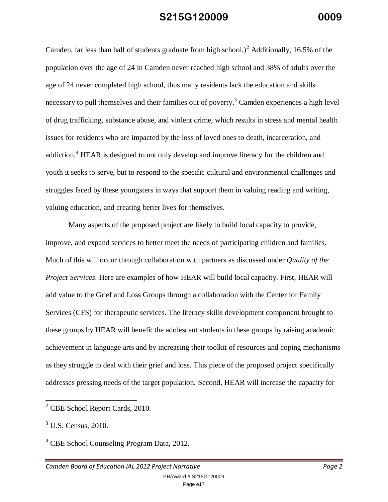Camden, far less than half of students graduate from high school.)<sup>2</sup> Additionally, 16.5% of the population over the age of 24 in Camden never reached high school and 38% of adults over the age of 24 never completed high school, thus many residents lack the education and skills necessary to pull themselves and their families out of poverty.<sup>3</sup> Camden experiences a high level of drug trafficking, substance abuse, and violent crime, which results in stress and mental health issues for residents who are impacted by the loss of loved ones to death, incarceration, and addiction.<sup>4</sup> HEAR is designed to not only develop and improve literacy for the children and youth it seeks to serve, but to respond to the specific cultural and environmental challenges and struggles faced by these youngsters in ways that support them in valuing reading and writing, valuing education, and creating better lives for themselves.

Many aspects of the proposed project are likely to build local capacity to provide, improve, and expand services to better meet the needs of participating children and families. Much of this will occur through collaboration with partners as discussed under *Quality of the Project Services*. Here are examples of how HEAR will build local capacity. First, HEAR will add value to the Grief and Loss Groups through a collaboration with the Center for Family Services (CFS) for therapeutic services. The literacy skills development component brought to these groups by HEAR will benefit the adolescent students in these groups by raising academic achievement in language arts and by increasing their toolkit of resources and coping mechanisms as they struggle to deal with their grief and loss. This piece of the proposed project specifically addresses pressing needs of the target population. Second, HEAR will increase the capacity for

 $\overline{\phantom{a}}$ 

<sup>&</sup>lt;sup>2</sup> CBE School Report Cards, 2010.

 $3$  U.S. Census, 2010.

<sup>4</sup> CBE School Counseling Program Data, 2012.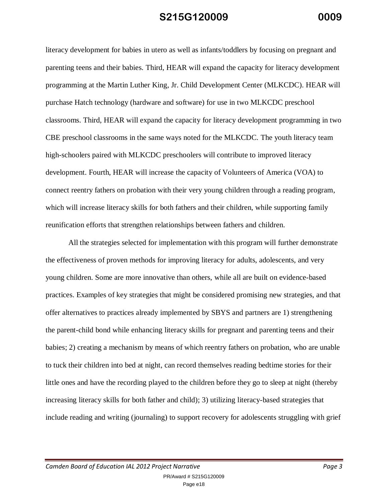literacy development for babies in utero as well as infants/toddlers by focusing on pregnant and parenting teens and their babies. Third, HEAR will expand the capacity for literacy development programming at the Martin Luther King, Jr. Child Development Center (MLKCDC). HEAR will purchase Hatch technology (hardware and software) for use in two MLKCDC preschool classrooms. Third, HEAR will expand the capacity for literacy development programming in two CBE preschool classrooms in the same ways noted for the MLKCDC. The youth literacy team high-schoolers paired with MLKCDC preschoolers will contribute to improved literacy development. Fourth, HEAR will increase the capacity of Volunteers of America (VOA) to connect reentry fathers on probation with their very young children through a reading program, which will increase literacy skills for both fathers and their children, while supporting family reunification efforts that strengthen relationships between fathers and children.

All the strategies selected for implementation with this program will further demonstrate the effectiveness of proven methods for improving literacy for adults, adolescents, and very young children. Some are more innovative than others, while all are built on evidence-based practices. Examples of key strategies that might be considered promising new strategies, and that offer alternatives to practices already implemented by SBYS and partners are 1) strengthening the parent-child bond while enhancing literacy skills for pregnant and parenting teens and their babies; 2) creating a mechanism by means of which reentry fathers on probation, who are unable to tuck their children into bed at night, can record themselves reading bedtime stories for their little ones and have the recording played to the children before they go to sleep at night (thereby increasing literacy skills for both father and child); 3) utilizing literacy-based strategies that include reading and writing (journaling) to support recovery for adolescents struggling with grief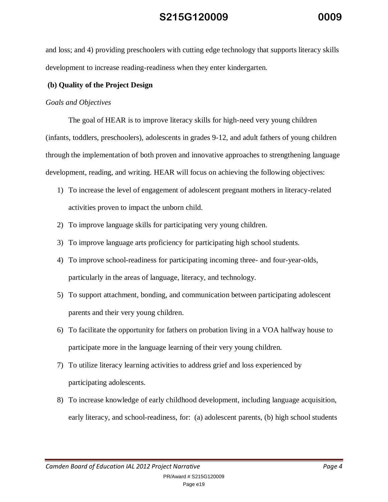and loss; and 4) providing preschoolers with cutting edge technology that supports literacy skills development to increase reading-readiness when they enter kindergarten.

### **(b) Quality of the Project Design**

### *Goals and Objectives*

The goal of HEAR is to improve literacy skills for high-need very young children (infants, toddlers, preschoolers), adolescents in grades 9-12, and adult fathers of young children through the implementation of both proven and innovative approaches to strengthening language development, reading, and writing. HEAR will focus on achieving the following objectives:

- 1) To increase the level of engagement of adolescent pregnant mothers in literacy-related activities proven to impact the unborn child.
- 2) To improve language skills for participating very young children.
- 3) To improve language arts proficiency for participating high school students.
- 4) To improve school-readiness for participating incoming three- and four-year-olds, particularly in the areas of language, literacy, and technology.
- 5) To support attachment, bonding, and communication between participating adolescent parents and their very young children.
- 6) To facilitate the opportunity for fathers on probation living in a VOA halfway house to participate more in the language learning of their very young children.
- 7) To utilize literacy learning activities to address grief and loss experienced by participating adolescents.
- 8) To increase knowledge of early childhood development, including language acquisition, early literacy, and school-readiness, for: (a) adolescent parents, (b) high school students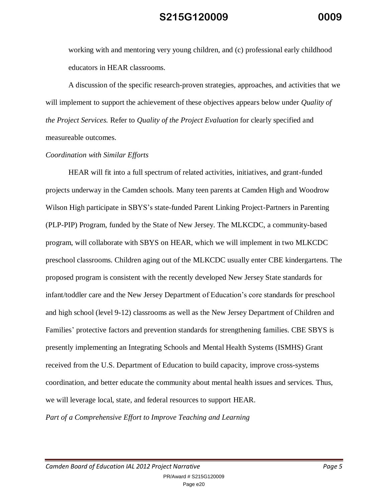working with and mentoring very young children, and (c) professional early childhood educators in HEAR classrooms.

A discussion of the specific research-proven strategies, approaches, and activities that we will implement to support the achievement of these objectives appears below under *Quality of the Project Services.* Refer to *Quality of the Project Evaluation* for clearly specified and measureable outcomes.

### *Coordination with Similar Efforts*

HEAR will fit into a full spectrum of related activities, initiatives, and grant-funded projects underway in the Camden schools. Many teen parents at Camden High and Woodrow Wilson High participate in SBYS's state-funded Parent Linking Project-Partners in Parenting (PLP-PIP) Program, funded by the State of New Jersey. The MLKCDC, a community-based program, will collaborate with SBYS on HEAR, which we will implement in two MLKCDC preschool classrooms. Children aging out of the MLKCDC usually enter CBE kindergartens. The proposed program is consistent with the recently developed New Jersey State standards for infant/toddler care and the New Jersey Department of Education's core standards for preschool and high school (level 9-12) classrooms as well as the New Jersey Department of Children and Families' protective factors and prevention standards for strengthening families. CBE SBYS is presently implementing an Integrating Schools and Mental Health Systems (ISMHS) Grant received from the U.S. Department of Education to build capacity, improve cross-systems coordination, and better educate the community about mental health issues and services. Thus, we will leverage local, state, and federal resources to support HEAR. *Part of a Comprehensive Effort to Improve Teaching and Learning*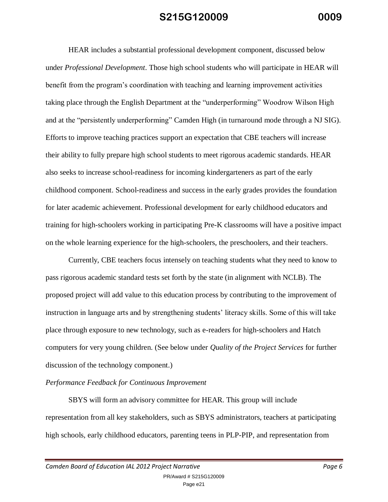HEAR includes a substantial professional development component, discussed below under *Professional Development*. Those high school students who will participate in HEAR will benefit from the program's coordination with teaching and learning improvement activities taking place through the English Department at the "underperforming" Woodrow Wilson High and at the "persistently underperforming" Camden High (in turnaround mode through a NJ SIG). Efforts to improve teaching practices support an expectation that CBE teachers will increase their ability to fully prepare high school students to meet rigorous academic standards. HEAR also seeks to increase school-readiness for incoming kindergarteners as part of the early childhood component. School-readiness and success in the early grades provides the foundation for later academic achievement. Professional development for early childhood educators and training for high-schoolers working in participating Pre-K classrooms will have a positive impact on the whole learning experience for the high-schoolers, the preschoolers, and their teachers.

Currently, CBE teachers focus intensely on teaching students what they need to know to pass rigorous academic standard tests set forth by the state (in alignment with NCLB). The proposed project will add value to this education process by contributing to the improvement of instruction in language arts and by strengthening students' literacy skills. Some of this will take place through exposure to new technology, such as e-readers for high-schoolers and Hatch computers for very young children. (See below under *Quality of the Project Services* for further discussion of the technology component.)

### *Performance Feedback for Continuous Improvement*

SBYS will form an advisory committee for HEAR. This group will include representation from all key stakeholders, such as SBYS administrators, teachers at participating high schools, early childhood educators, parenting teens in PLP-PIP, and representation from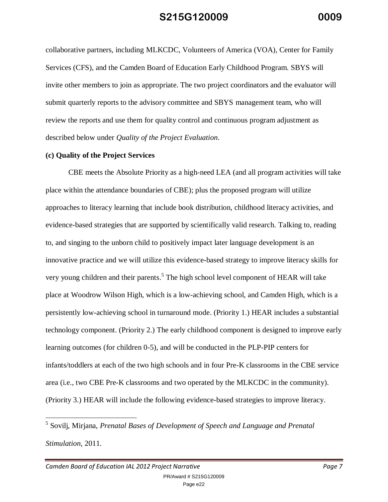collaborative partners, including MLKCDC, Volunteers of America (VOA), Center for Family Services (CFS), and the Camden Board of Education Early Childhood Program. SBYS will invite other members to join as appropriate. The two project coordinators and the evaluator will submit quarterly reports to the advisory committee and SBYS management team, who will review the reports and use them for quality control and continuous program adjustment as described below under *Quality of the Project Evaluation*.

#### **(c) Quality of the Project Services**

CBE meets the Absolute Priority as a high-need LEA (and all program activities will take place within the attendance boundaries of CBE); plus the proposed program will utilize approaches to literacy learning that include book distribution, childhood literacy activities, and evidence-based strategies that are supported by scientifically valid research. Talking to, reading to, and singing to the unborn child to positively impact later language development is an innovative practice and we will utilize this evidence-based strategy to improve literacy skills for very young children and their parents.<sup>5</sup> The high school level component of HEAR will take place at Woodrow Wilson High, which is a low-achieving school, and Camden High, which is a persistently low-achieving school in turnaround mode. (Priority 1.) HEAR includes a substantial technology component. (Priority 2.) The early childhood component is designed to improve early learning outcomes (for children 0-5), and will be conducted in the PLP-PIP centers for infants/toddlers at each of the two high schools and in four Pre-K classrooms in the CBE service area (i.e., two CBE Pre-K classrooms and two operated by the MLKCDC in the community). (Priority 3.) HEAR will include the following evidence-based strategies to improve literacy.

*Camden Board of Education IAL 2012 Project Narrative Page 7* PR/Award # S215G120009

<sup>5</sup> Sovilj, Mirjana, *Prenatal Bases of Development of Speech and Language and Prenatal Stimulation*, 2011.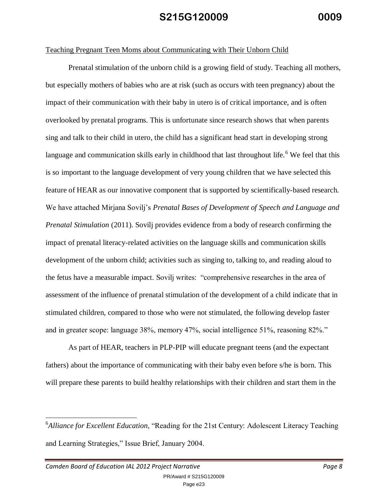#### Teaching Pregnant Teen Moms about Communicating with Their Unborn Child

Prenatal stimulation of the unborn child is a growing field of study. Teaching all mothers, but especially mothers of babies who are at risk (such as occurs with teen pregnancy) about the impact of their communication with their baby in utero is of critical importance, and is often overlooked by prenatal programs. This is unfortunate since research shows that when parents sing and talk to their child in utero, the child has a significant head start in developing strong language and communication skills early in childhood that last throughout life.<sup>6</sup> We feel that this is so important to the language development of very young children that we have selected this feature of HEAR as our innovative component that is supported by scientifically-based research. We have attached Mirjana Sovilj's *Prenatal Bases of Development of Speech and Language and Prenatal Stimulation* (2011). Sovilj provides evidence from a body of research confirming the impact of prenatal literacy-related activities on the language skills and communication skills development of the unborn child; activities such as singing to, talking to, and reading aloud to the fetus have a measurable impact. Sovilj writes: "comprehensive researches in the area of assessment of the influence of prenatal stimulation of the development of a child indicate that in stimulated children, compared to those who were not stimulated, the following develop faster and in greater scope: language 38%, memory 47%, social intelligence 51%, reasoning 82%."

As part of HEAR, teachers in PLP-PIP will educate pregnant teens (and the expectant fathers) about the importance of communicating with their baby even before s/he is born. This will prepare these parents to build healthy relationships with their children and start them in the

<sup>&</sup>lt;sup>6</sup>Alliance for Excellent Education, "Reading for the 21st Century: Adolescent Literacy Teaching and Learning Strategies," Issue Brief, January 2004.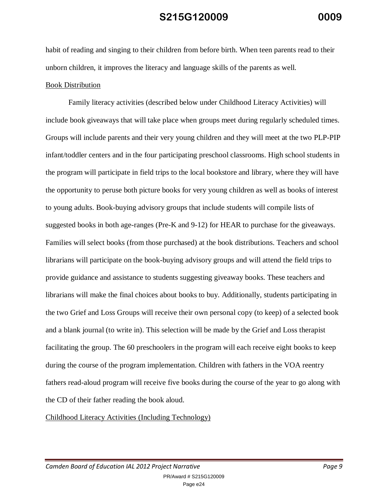habit of reading and singing to their children from before birth. When teen parents read to their unborn children, it improves the literacy and language skills of the parents as well.

### Book Distribution

Family literacy activities (described below under Childhood Literacy Activities) will include book giveaways that will take place when groups meet during regularly scheduled times. Groups will include parents and their very young children and they will meet at the two PLP-PIP infant/toddler centers and in the four participating preschool classrooms. High school students in the program will participate in field trips to the local bookstore and library, where they will have the opportunity to peruse both picture books for very young children as well as books of interest to young adults. Book-buying advisory groups that include students will compile lists of suggested books in both age-ranges (Pre-K and 9-12) for HEAR to purchase for the giveaways. Families will select books (from those purchased) at the book distributions. Teachers and school librarians will participate on the book-buying advisory groups and will attend the field trips to provide guidance and assistance to students suggesting giveaway books. These teachers and librarians will make the final choices about books to buy. Additionally, students participating in the two Grief and Loss Groups will receive their own personal copy (to keep) of a selected book and a blank journal (to write in). This selection will be made by the Grief and Loss therapist facilitating the group. The 60 preschoolers in the program will each receive eight books to keep during the course of the program implementation. Children with fathers in the VOA reentry fathers read-aloud program will receive five books during the course of the year to go along with the CD of their father reading the book aloud.

Childhood Literacy Activities (Including Technology)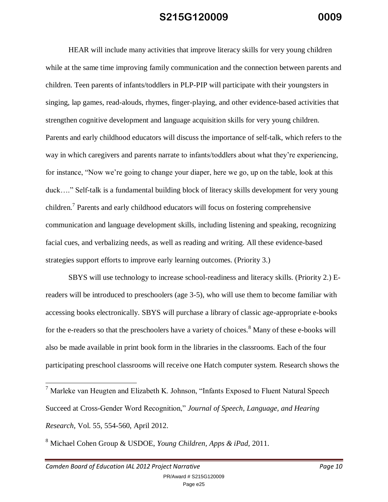HEAR will include many activities that improve literacy skills for very young children while at the same time improving family communication and the connection between parents and children. Teen parents of infants/toddlers in PLP-PIP will participate with their youngsters in singing, lap games, read-alouds, rhymes, finger-playing, and other evidence-based activities that strengthen cognitive development and language acquisition skills for very young children. Parents and early childhood educators will discuss the importance of self-talk, which refers to the way in which caregivers and parents narrate to infants/toddlers about what they're experiencing, for instance, "Now we're going to change your diaper, here we go, up on the table, look at this duck…." Self-talk is a fundamental building block of literacy skills development for very young children.<sup>7</sup> Parents and early childhood educators will focus on fostering comprehensive communication and language development skills, including listening and speaking, recognizing facial cues, and verbalizing needs, as well as reading and writing. All these evidence-based strategies support efforts to improve early learning outcomes. (Priority 3.)

SBYS will use technology to increase school-readiness and literacy skills. (Priority 2.) Ereaders will be introduced to preschoolers (age 3-5), who will use them to become familiar with accessing books electronically. SBYS will purchase a library of classic age-appropriate e-books for the e-readers so that the preschoolers have a variety of choices.<sup>8</sup> Many of these e-books will also be made available in print book form in the libraries in the classrooms. Each of the four participating preschool classrooms will receive one Hatch computer system. Research shows the

<sup>&</sup>lt;sup>7</sup> Marleke van Heugten and Elizabeth K. Johnson, "Infants Exposed to Fluent Natural Speech Succeed at Cross-Gender Word Recognition," *Journal of Speech, Language, and Hearing Research*, Vol. 55, 554-560, April 2012.

<sup>8</sup> Michael Cohen Group & USDOE, *Young Children, Apps & iPad,* 2011.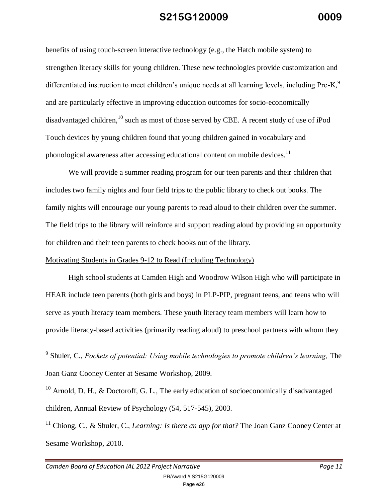benefits of using touch-screen interactive technology (e.g., the Hatch mobile system) to strengthen literacy skills for young children. These new technologies provide customization and differentiated instruction to meet children's unique needs at all learning levels, including Pre-K,<sup>9</sup> and are particularly effective in improving education outcomes for socio-economically disadvantaged children, <sup>10</sup> such as most of those served by CBE. A recent study of use of iPod Touch devices by young children found that young children gained in vocabulary and phonological awareness after accessing educational content on mobile devices.<sup>11</sup>

We will provide a summer reading program for our teen parents and their children that includes two family nights and four field trips to the public library to check out books. The family nights will encourage our young parents to read aloud to their children over the summer. The field trips to the library will reinforce and support reading aloud by providing an opportunity for children and their teen parents to check books out of the library.

### Motivating Students in Grades 9-12 to Read (Including Technology)

High school students at Camden High and Woodrow Wilson High who will participate in HEAR include teen parents (both girls and boys) in PLP-PIP, pregnant teens, and teens who will serve as youth literacy team members. These youth literacy team members will learn how to provide literacy-based activities (primarily reading aloud) to preschool partners with whom they

<sup>&</sup>lt;sup>9</sup><br><sup>9</sup> Shuler, C., *Pockets of potential: Using mobile technologies to promote children's learning, The* Joan Ganz Cooney Center at Sesame Workshop, 2009.

 $10$  Arnold, D. H., & Doctoroff, G. L., The early education of socioeconomically disadvantaged children, Annual Review of Psychology (54, 517-545), 2003.

<sup>11</sup> Chiong, C., & Shuler, C., *Learning: Is there an app for that?* The Joan Ganz Cooney Center at Sesame Workshop, 2010.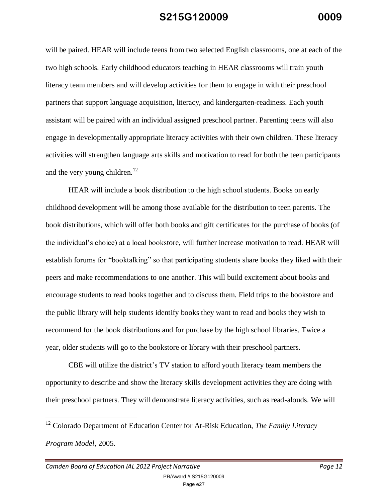will be paired. HEAR will include teens from two selected English classrooms, one at each of the two high schools. Early childhood educators teaching in HEAR classrooms will train youth literacy team members and will develop activities for them to engage in with their preschool partners that support language acquisition, literacy, and kindergarten-readiness. Each youth assistant will be paired with an individual assigned preschool partner. Parenting teens will also engage in developmentally appropriate literacy activities with their own children. These literacy activities will strengthen language arts skills and motivation to read for both the teen participants and the very young children.<sup>12</sup>

HEAR will include a book distribution to the high school students. Books on early childhood development will be among those available for the distribution to teen parents. The book distributions, which will offer both books and gift certificates for the purchase of books (of the individual's choice) at a local bookstore, will further increase motivation to read. HEAR will establish forums for "booktalking" so that participating students share books they liked with their peers and make recommendations to one another. This will build excitement about books and encourage students to read books together and to discuss them. Field trips to the bookstore and the public library will help students identify books they want to read and books they wish to recommend for the book distributions and for purchase by the high school libraries. Twice a year, older students will go to the bookstore or library with their preschool partners.

CBE will utilize the district's TV station to afford youth literacy team members the opportunity to describe and show the literacy skills development activities they are doing with their preschool partners. They will demonstrate literacy activities, such as read-alouds. We will

<sup>12</sup> Colorado Department of Education Center for At-Risk Education, *The Family Literacy Program Model*, 2005.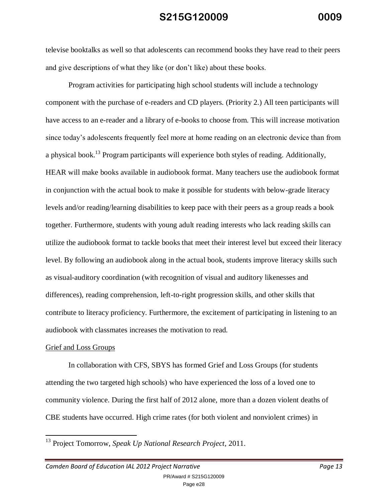televise booktalks as well so that adolescents can recommend books they have read to their peers and give descriptions of what they like (or don't like) about these books.

Program activities for participating high school students will include a technology component with the purchase of e-readers and CD players. (Priority 2.) All teen participants will have access to an e-reader and a library of e-books to choose from. This will increase motivation since today's adolescents frequently feel more at home reading on an electronic device than from a physical book.<sup>13</sup> Program participants will experience both styles of reading. Additionally, HEAR will make books available in audiobook format. Many teachers use the audiobook format in conjunction with the actual book to make it possible for students with below-grade literacy levels and/or reading/learning disabilities to keep pace with their peers as a group reads a book together. Furthermore, students with young adult reading interests who lack reading skills can utilize the audiobook format to tackle books that meet their interest level but exceed their literacy level. By following an audiobook along in the actual book, students improve literacy skills such as visual-auditory coordination (with recognition of visual and auditory likenesses and differences), reading comprehension, left-to-right progression skills, and other skills that contribute to literacy proficiency. Furthermore, the excitement of participating in listening to an audiobook with classmates increases the motivation to read.

#### Grief and Loss Groups

 $\overline{a}$ 

In collaboration with CFS, SBYS has formed Grief and Loss Groups (for students attending the two targeted high schools) who have experienced the loss of a loved one to community violence. During the first half of 2012 alone, more than a dozen violent deaths of CBE students have occurred. High crime rates (for both violent and nonviolent crimes) in

Page e28

<sup>13</sup> Project Tomorrow, *Speak Up National Research Project*, 2011.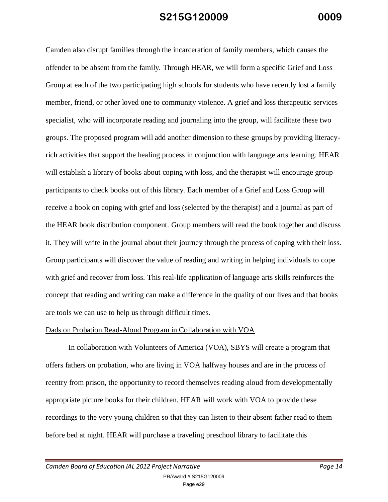Camden also disrupt families through the incarceration of family members, which causes the offender to be absent from the family. Through HEAR, we will form a specific Grief and Loss Group at each of the two participating high schools for students who have recently lost a family member, friend, or other loved one to community violence. A grief and loss therapeutic services specialist, who will incorporate reading and journaling into the group, will facilitate these two groups. The proposed program will add another dimension to these groups by providing literacyrich activities that support the healing process in conjunction with language arts learning. HEAR will establish a library of books about coping with loss, and the therapist will encourage group participants to check books out of this library. Each member of a Grief and Loss Group will receive a book on coping with grief and loss (selected by the therapist) and a journal as part of the HEAR book distribution component. Group members will read the book together and discuss it. They will write in the journal about their journey through the process of coping with their loss. Group participants will discover the value of reading and writing in helping individuals to cope with grief and recover from loss. This real-life application of language arts skills reinforces the concept that reading and writing can make a difference in the quality of our lives and that books are tools we can use to help us through difficult times.

#### Dads on Probation Read-Aloud Program in Collaboration with VOA

In collaboration with Volunteers of America (VOA), SBYS will create a program that offers fathers on probation, who are living in VOA halfway houses and are in the process of reentry from prison, the opportunity to record themselves reading aloud from developmentally appropriate picture books for their children. HEAR will work with VOA to provide these recordings to the very young children so that they can listen to their absent father read to them before bed at night. HEAR will purchase a traveling preschool library to facilitate this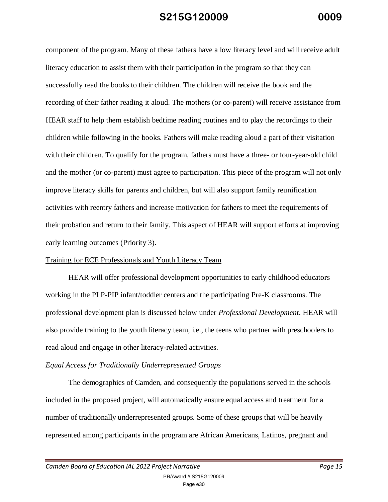component of the program. Many of these fathers have a low literacy level and will receive adult literacy education to assist them with their participation in the program so that they can successfully read the books to their children. The children will receive the book and the recording of their father reading it aloud. The mothers (or co-parent) will receive assistance from HEAR staff to help them establish bedtime reading routines and to play the recordings to their children while following in the books. Fathers will make reading aloud a part of their visitation with their children. To qualify for the program, fathers must have a three- or four-year-old child and the mother (or co-parent) must agree to participation. This piece of the program will not only improve literacy skills for parents and children, but will also support family reunification activities with reentry fathers and increase motivation for fathers to meet the requirements of their probation and return to their family. This aspect of HEAR will support efforts at improving early learning outcomes (Priority 3).

### Training for ECE Professionals and Youth Literacy Team

HEAR will offer professional development opportunities to early childhood educators working in the PLP-PIP infant/toddler centers and the participating Pre-K classrooms. The professional development plan is discussed below under *Professional Development*. HEAR will also provide training to the youth literacy team, i.e., the teens who partner with preschoolers to read aloud and engage in other literacy-related activities.

### *Equal Access for Traditionally Underrepresented Groups*

The demographics of Camden, and consequently the populations served in the schools included in the proposed project, will automatically ensure equal access and treatment for a number of traditionally underrepresented groups. Some of these groups that will be heavily represented among participants in the program are African Americans, Latinos, pregnant and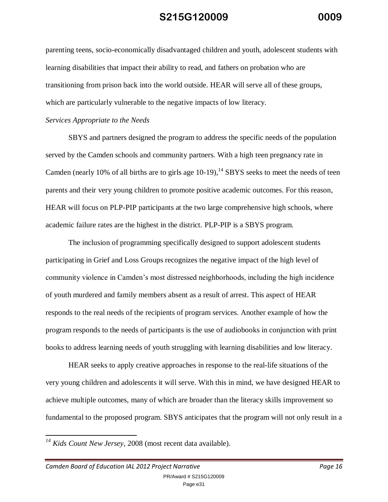parenting teens, socio-economically disadvantaged children and youth, adolescent students with learning disabilities that impact their ability to read, and fathers on probation who are transitioning from prison back into the world outside. HEAR will serve all of these groups, which are particularly vulnerable to the negative impacts of low literacy.

#### *Services Appropriate to the Needs*

SBYS and partners designed the program to address the specific needs of the population served by the Camden schools and community partners. With a high teen pregnancy rate in Camden (nearly 10% of all births are to girls age  $10-19$ ),<sup>14</sup> SBYS seeks to meet the needs of teen parents and their very young children to promote positive academic outcomes. For this reason, HEAR will focus on PLP-PIP participants at the two large comprehensive high schools, where academic failure rates are the highest in the district. PLP-PIP is a SBYS program.

The inclusion of programming specifically designed to support adolescent students participating in Grief and Loss Groups recognizes the negative impact of the high level of community violence in Camden's most distressed neighborhoods, including the high incidence of youth murdered and family members absent as a result of arrest. This aspect of HEAR responds to the real needs of the recipients of program services. Another example of how the program responds to the needs of participants is the use of audiobooks in conjunction with print books to address learning needs of youth struggling with learning disabilities and low literacy.

HEAR seeks to apply creative approaches in response to the real-life situations of the very young children and adolescents it will serve. With this in mind, we have designed HEAR to achieve multiple outcomes, many of which are broader than the literacy skills improvement so fundamental to the proposed program. SBYS anticipates that the program will not only result in a

*<sup>14</sup> Kids Count New Jersey*, 2008 (most recent data available).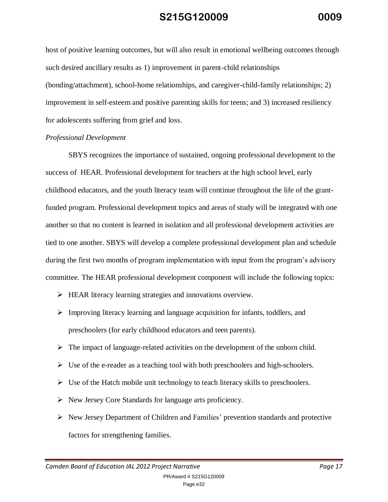host of positive learning outcomes, but will also result in emotional wellbeing outcomes through such desired ancillary results as 1) improvement in parent-child relationships (bonding/attachment), school-home relationships, and caregiver-child-family relationships; 2) improvement in self-esteem and positive parenting skills for teens; and 3) increased resiliency for adolescents suffering from grief and loss.

### *Professional Development*

SBYS recognizes the importance of sustained, ongoing professional development to the success of HEAR. Professional development for teachers at the high school level, early childhood educators, and the youth literacy team will continue throughout the life of the grantfunded program. Professional development topics and areas of study will be integrated with one another so that no content is learned in isolation and all professional development activities are tied to one another. SBYS will develop a complete professional development plan and schedule during the first two months of program implementation with input from the program's advisory committee. The HEAR professional development component will include the following topics:

- HEAR literacy learning strategies and innovations overview.
- $\triangleright$  Improving literacy learning and language acquisition for infants, toddlers, and preschoolers (for early childhood educators and teen parents).
- $\triangleright$  The impact of language-related activities on the development of the unborn child.
- $\triangleright$  Use of the e-reader as a teaching tool with both preschoolers and high-schoolers.
- $\triangleright$  Use of the Hatch mobile unit technology to teach literacy skills to preschoolers.
- $\triangleright$  New Jersey Core Standards for language arts proficiency.
- $\triangleright$  New Jersey Department of Children and Families' prevention standards and protective factors for strengthening families.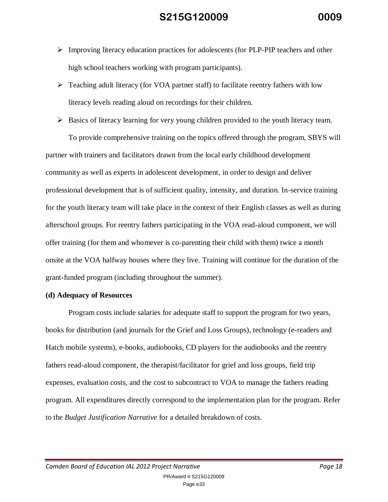- $\triangleright$  Improving literacy education practices for adolescents (for PLP-PIP teachers and other high school teachers working with program participants).
- $\triangleright$  Teaching adult literacy (for VOA partner staff) to facilitate reentry fathers with low literacy levels reading aloud on recordings for their children.
- $\triangleright$  Basics of literacy learning for very young children provided to the youth literacy team.

To provide comprehensive training on the topics offered through the program, SBYS will partner with trainers and facilitators drawn from the local early childhood development community as well as experts in adolescent development, in order to design and deliver professional development that is of sufficient quality, intensity, and duration. In-service training for the youth literacy team will take place in the context of their English classes as well as during afterschool groups. For reentry fathers participating in the VOA read-aloud component, we will offer training (for them and whomever is co-parenting their child with them) twice a month onsite at the VOA halfway houses where they live. Training will continue for the duration of the grant-funded program (including throughout the summer).

### **(d) Adequacy of Resources**

Program costs include salaries for adequate staff to support the program for two years, books for distribution (and journals for the Grief and Loss Groups), technology (e-readers and Hatch mobile systems), e-books, audiobooks, CD players for the audiobooks and the reentry fathers read-aloud component, the therapist/facilitator for grief and loss groups, field trip expenses, evaluation costs, and the cost to subcontract to VOA to manage the fathers reading program. All expenditures directly correspond to the implementation plan for the program. Refer to the *Budget Justification Narrative* for a detailed breakdown of costs.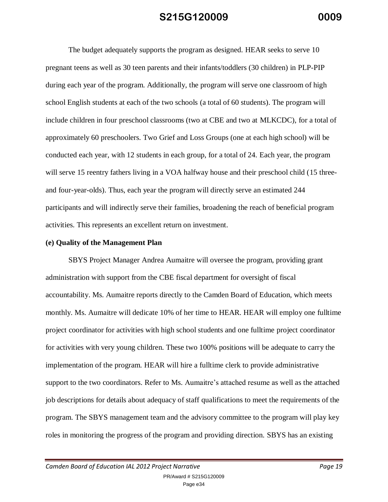The budget adequately supports the program as designed. HEAR seeks to serve 10 pregnant teens as well as 30 teen parents and their infants/toddlers (30 children) in PLP-PIP during each year of the program. Additionally, the program will serve one classroom of high school English students at each of the two schools (a total of 60 students). The program will include children in four preschool classrooms (two at CBE and two at MLKCDC), for a total of approximately 60 preschoolers. Two Grief and Loss Groups (one at each high school) will be conducted each year, with 12 students in each group, for a total of 24. Each year, the program will serve 15 reentry fathers living in a VOA halfway house and their preschool child (15 threeand four-year-olds). Thus, each year the program will directly serve an estimated 244 participants and will indirectly serve their families, broadening the reach of beneficial program activities. This represents an excellent return on investment.

### **(e) Quality of the Management Plan**

SBYS Project Manager Andrea Aumaitre will oversee the program, providing grant administration with support from the CBE fiscal department for oversight of fiscal accountability. Ms. Aumaitre reports directly to the Camden Board of Education, which meets monthly. Ms. Aumaitre will dedicate 10% of her time to HEAR. HEAR will employ one fulltime project coordinator for activities with high school students and one fulltime project coordinator for activities with very young children. These two 100% positions will be adequate to carry the implementation of the program. HEAR will hire a fulltime clerk to provide administrative support to the two coordinators. Refer to Ms. Aumaitre's attached resume as well as the attached job descriptions for details about adequacy of staff qualifications to meet the requirements of the program. The SBYS management team and the advisory committee to the program will play key roles in monitoring the progress of the program and providing direction. SBYS has an existing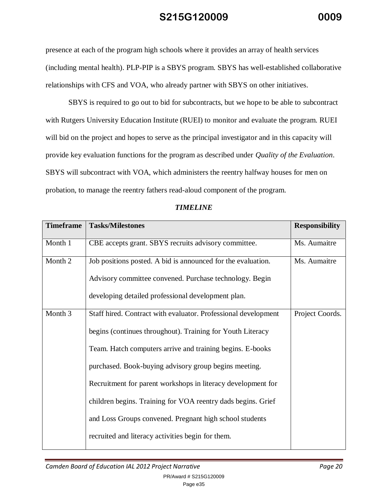presence at each of the program high schools where it provides an array of health services (including mental health). PLP-PIP is a SBYS program. SBYS has well-established collaborative relationships with CFS and VOA, who already partner with SBYS on other initiatives.

SBYS is required to go out to bid for subcontracts, but we hope to be able to subcontract with Rutgers University Education Institute (RUEI) to monitor and evaluate the program. RUEI will bid on the project and hopes to serve as the principal investigator and in this capacity will provide key evaluation functions for the program as described under *Quality of the Evaluation*. SBYS will subcontract with VOA, which administers the reentry halfway houses for men on probation, to manage the reentry fathers read-aloud component of the program.

| <b>Timeframe</b> | <b>Tasks/Milestones</b>                                        | <b>Responsibility</b> |
|------------------|----------------------------------------------------------------|-----------------------|
| Month 1          | CBE accepts grant. SBYS recruits advisory committee.           | Ms. Aumaitre          |
| Month 2          | Job positions posted. A bid is announced for the evaluation.   | Ms. Aumaitre          |
|                  | Advisory committee convened. Purchase technology. Begin        |                       |
|                  | developing detailed professional development plan.             |                       |
| Month 3          | Staff hired. Contract with evaluator. Professional development | Project Coords.       |
|                  | begins (continues throughout). Training for Youth Literacy     |                       |
|                  | Team. Hatch computers arrive and training begins. E-books      |                       |
|                  | purchased. Book-buying advisory group begins meeting.          |                       |
|                  | Recruitment for parent workshops in literacy development for   |                       |
|                  | children begins. Training for VOA reentry dads begins. Grief   |                       |
|                  | and Loss Groups convened. Pregnant high school students        |                       |
|                  | recruited and literacy activities begin for them.              |                       |

### *TIMELINE*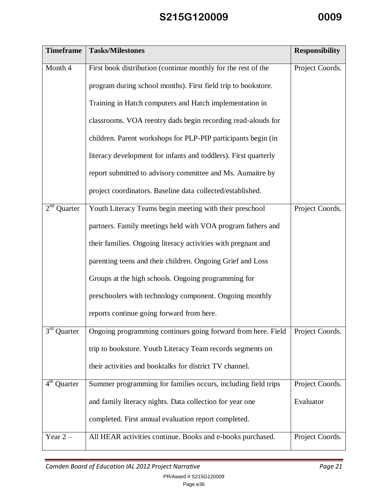| <b>Timeframe</b>           | <b>Tasks/Milestones</b>                                         | <b>Responsibility</b> |
|----------------------------|-----------------------------------------------------------------|-----------------------|
| Month 4                    | First book distribution (continue monthly for the rest of the   | Project Coords.       |
|                            | program during school months). First field trip to bookstore.   |                       |
|                            | Training in Hatch computers and Hatch implementation in         |                       |
|                            | classrooms. VOA reentry dads begin recording read-alouds for    |                       |
|                            | children. Parent workshops for PLP-PIP participants begin (in   |                       |
|                            | literacy development for infants and toddlers). First quarterly |                       |
|                            | report submitted to advisory committee and Ms. Aumaitre by      |                       |
|                            | project coordinators. Baseline data collected/established.      |                       |
| 2 <sup>nd</sup><br>Quarter | Youth Literacy Teams begin meeting with their preschool         | Project Coords.       |
|                            | partners. Family meetings held with VOA program fathers and     |                       |
|                            | their families. Ongoing literacy activities with pregnant and   |                       |
|                            | parenting teens and their children. Ongoing Grief and Loss      |                       |
|                            | Groups at the high schools. Ongoing programming for             |                       |
|                            | preschoolers with technology component. Ongoing monthly         |                       |
|                            | reports continue going forward from here.                       |                       |
| $3^{rd}$<br>Quarter        | Ongoing programming continues going forward from here. Field    | Project Coords.       |
|                            | trip to bookstore. Youth Literacy Team records segments on      |                       |
|                            | their activities and booktalks for district TV channel.         |                       |
| $4th$ Quarter              | Summer programming for families occurs, including field trips   | Project Coords.       |
|                            | and family literacy nights. Data collection for year one        | Evaluator             |
|                            | completed. First annual evaluation report completed.            |                       |
| Year $2-$                  | All HEAR activities continue. Books and e-books purchased.      | Project Coords.       |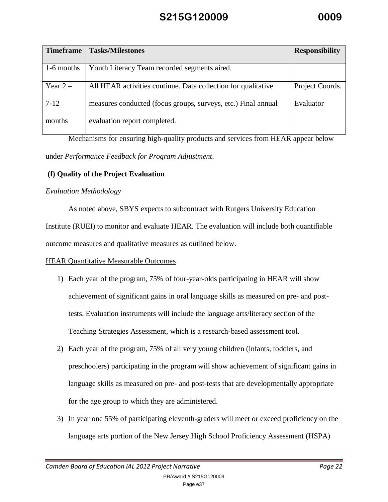| <b>Timeframe</b> | <b>Tasks/Milestones</b>                                       | <b>Responsibility</b> |
|------------------|---------------------------------------------------------------|-----------------------|
| 1-6 months       | Youth Literacy Team recorded segments aired.                  |                       |
| Year $2-$        | All HEAR activities continue. Data collection for qualitative | Project Coords.       |
| $7 - 12$         | measures conducted (focus groups, surveys, etc.) Final annual | Evaluator             |
| months           | evaluation report completed.                                  |                       |

Mechanisms for ensuring high-quality products and services from HEAR appear below under *Performance Feedback for Program Adjustment*.

### **(f) Quality of the Project Evaluation**

### *Evaluation Methodology*

As noted above, SBYS expects to subcontract with Rutgers University Education

Institute (RUEI) to monitor and evaluate HEAR. The evaluation will include both quantifiable outcome measures and qualitative measures as outlined below.

### HEAR Quantitative Measurable Outcomes

- 1) Each year of the program, 75% of four-year-olds participating in HEAR will show achievement of significant gains in oral language skills as measured on pre- and posttests. Evaluation instruments will include the language arts/literacy section of the Teaching Strategies Assessment, which is a research-based assessment tool.
- 2) Each year of the program, 75% of all very young children (infants, toddlers, and preschoolers) participating in the program will show achievement of significant gains in language skills as measured on pre- and post-tests that are developmentally appropriate for the age group to which they are administered.
- 3) In year one 55% of participating eleventh-graders will meet or exceed proficiency on the language arts portion of the New Jersey High School Proficiency Assessment (HSPA)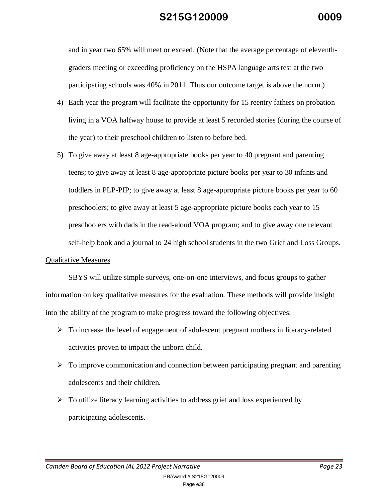and in year two 65% will meet or exceed. (Note that the average percentage of eleventhgraders meeting or exceeding proficiency on the HSPA language arts test at the two participating schools was 40% in 2011. Thus our outcome target is above the norm.)

- 4) Each year the program will facilitate the opportunity for 15 reentry fathers on probation living in a VOA halfway house to provide at least 5 recorded stories (during the course of the year) to their preschool children to listen to before bed.
- 5) To give away at least 8 age-appropriate books per year to 40 pregnant and parenting teens; to give away at least 8 age-appropriate picture books per year to 30 infants and toddlers in PLP-PIP; to give away at least 8 age-appropriate picture books per year to 60 preschoolers; to give away at least 5 age-appropriate picture books each year to 15 preschoolers with dads in the read-aloud VOA program; and to give away one relevant self-help book and a journal to 24 high school students in the two Grief and Loss Groups.

#### Qualitative Measures

SBYS will utilize simple surveys, one-on-one interviews, and focus groups to gather information on key qualitative measures for the evaluation. These methods will provide insight into the ability of the program to make progress toward the following objectives:

- $\triangleright$  To increase the level of engagement of adolescent pregnant mothers in literacy-related activities proven to impact the unborn child.
- $\triangleright$  To improve communication and connection between participating pregnant and parenting adolescents and their children.
- $\triangleright$  To utilize literacy learning activities to address grief and loss experienced by participating adolescents.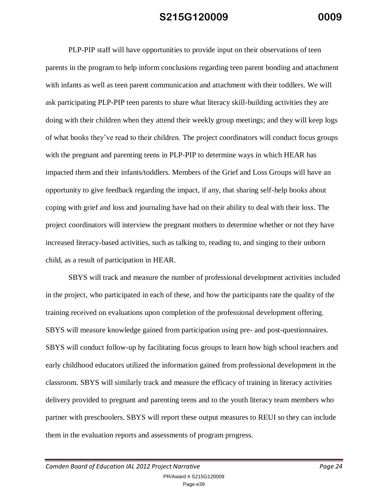PLP-PIP staff will have opportunities to provide input on their observations of teen parents in the program to help inform conclusions regarding teen parent bonding and attachment with infants as well as teen parent communication and attachment with their toddlers. We will ask participating PLP-PIP teen parents to share what literacy skill-building activities they are doing with their children when they attend their weekly group meetings; and they will keep logs of what books they've read to their children. The project coordinators will conduct focus groups with the pregnant and parenting teens in PLP-PIP to determine ways in which HEAR has impacted them and their infants/toddlers. Members of the Grief and Loss Groups will have an opportunity to give feedback regarding the impact, if any, that sharing self-help books about coping with grief and loss and journaling have had on their ability to deal with their loss. The project coordinators will interview the pregnant mothers to determine whether or not they have increased literacy-based activities, such as talking to, reading to, and singing to their unborn child, as a result of participation in HEAR.

SBYS will track and measure the number of professional development activities included in the project, who participated in each of these, and how the participants rate the quality of the training received on evaluations upon completion of the professional development offering. SBYS will measure knowledge gained from participation using pre- and post-questionnaires. SBYS will conduct follow-up by facilitating focus groups to learn how high school teachers and early childhood educators utilized the information gained from professional development in the classroom. SBYS will similarly track and measure the efficacy of training in literacy activities delivery provided to pregnant and parenting teens and to the youth literacy team members who partner with preschoolers. SBYS will report these output measures to REUI so they can include them in the evaluation reports and assessments of program progress.